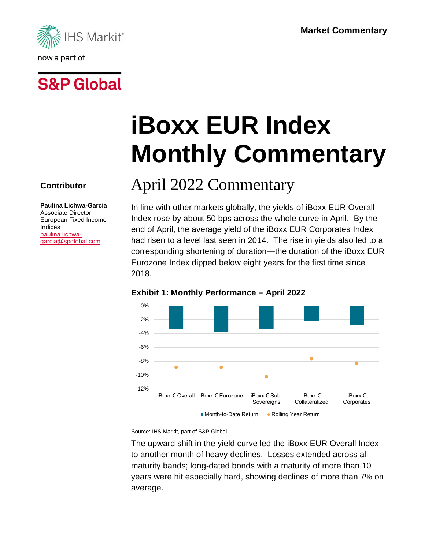



**Contributor**

Indices [paulina.lichwa](mailto:paulina.lichwa-garcia@spglobal.com)[garcia@spglobal.com](mailto:paulina.lichwa-garcia@spglobal.com)

**Paulina Lichwa-Garcia** Associate Director European Fixed Income

# **iBoxx EUR Index Monthly Commentary**

## April 2022 Commentary

In line with other markets globally, the yields of iBoxx EUR Overall Index rose by about 50 bps across the whole curve in April. By the end of April, the average yield of the iBoxx EUR Corporates Index had risen to a level last seen in 2014. The rise in yields also led to a corresponding shortening of duration—the duration of the iBoxx EUR Eurozone Index dipped below eight years for the first time since 2018.



#### **Exhibit 1: Monthly Performance - April 2022**

Source: IHS Markit, part of S&P Global

The upward shift in the yield curve led the iBoxx EUR Overall Index to another month of heavy declines. Losses extended across all maturity bands; long-dated bonds with a maturity of more than 10 years were hit especially hard, showing declines of more than 7% on average.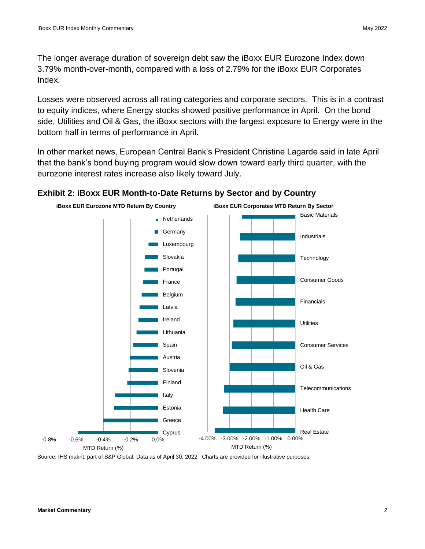The longer average duration of sovereign debt saw the iBoxx EUR Eurozone Index down 3.79% month-over-month, compared with a loss of 2.79% for the iBoxx EUR Corporates Index.

Losses were observed across all rating categories and corporate sectors. This is in a contrast to equity indices, where Energy stocks showed positive performance in April. On the bond side, Utilities and Oil & Gas, the iBoxx sectors with the largest exposure to Energy were in the bottom half in terms of performance in April.

In other market news, European Central Bank's President Christine Lagarde said in late April that the bank's bond buying program would slow down toward early third quarter, with the eurozone interest rates increase also likely toward July.



#### **Exhibit 2: iBoxx EUR Month-to-Date Returns by Sector and by Country**

Source: IHS makrit, part of S&P Global. Data as of April 30, 2022. Charts are provided for illustrative purposes.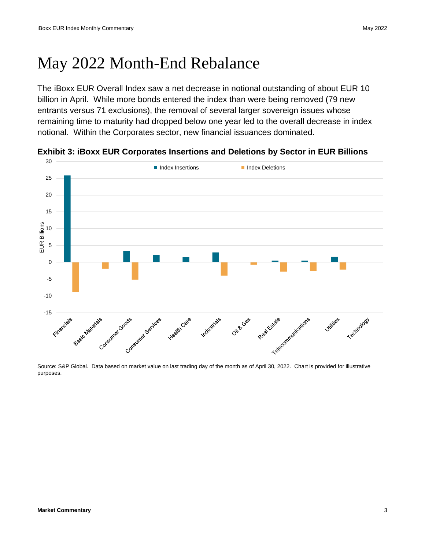### May 2022 Month-End Rebalance

The iBoxx EUR Overall Index saw a net decrease in notional outstanding of about EUR 10 billion in April. While more bonds entered the index than were being removed (79 new entrants versus 71 exclusions), the removal of several larger sovereign issues whose remaining time to maturity had dropped below one year led to the overall decrease in index notional. Within the Corporates sector, new financial issuances dominated.



**Exhibit 3: iBoxx EUR Corporates Insertions and Deletions by Sector in EUR Billions**

Source: S&P Global. Data based on market value on last trading day of the month as of April 30, 2022. Chart is provided for illustrative purposes.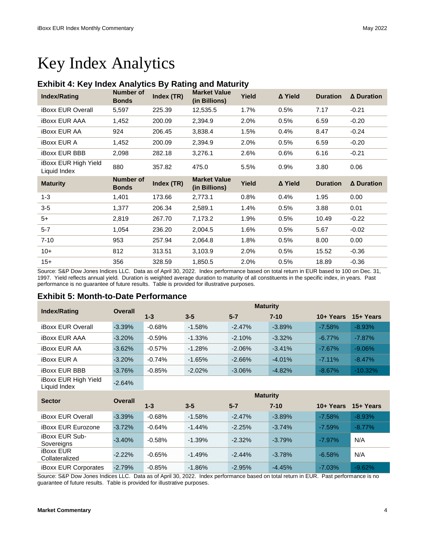### Key Index Analytics

#### **Exhibit 4: Key Index Analytics By Rating and Maturity**

| <b>Index/Rating</b>                  | <b>Number of</b><br><b>Bonds</b> | Index (TR) | <b>Market Value</b><br>(in Billions) | Yield | Δ Yield | <b>Duration</b> | $\Delta$ Duration |
|--------------------------------------|----------------------------------|------------|--------------------------------------|-------|---------|-----------------|-------------------|
| <b>iBoxx EUR Overall</b>             | 5,597                            | 225.39     | 12,535.5                             | 1.7%  | 0.5%    | 7.17            | $-0.21$           |
| <b>iBoxx EUR AAA</b>                 | 1,452                            | 200.09     | 2,394.9                              | 2.0%  | 0.5%    | 6.59            | $-0.20$           |
| <b>iBoxx EUR AA</b>                  | 924                              | 206.45     | 3,838.4                              | 1.5%  | 0.4%    | 8.47            | $-0.24$           |
| <b>iBoxx EUR A</b>                   | 1,452                            | 200.09     | 2,394.9                              | 2.0%  | 0.5%    | 6.59            | $-0.20$           |
| <b>iBoxx EUR BBB</b>                 | 2,098                            | 282.18     | 3,276.1                              | 2.6%  | 0.6%    | 6.16            | $-0.21$           |
| iBoxx EUR High Yield<br>Liquid Index | 880                              | 357.82     | 475.0                                | 5.5%  | 0.9%    | 3.80            | 0.06              |
|                                      |                                  |            |                                      |       |         |                 |                   |
| <b>Maturity</b>                      | <b>Number of</b><br><b>Bonds</b> | Index (TR) | <b>Market Value</b><br>(in Billions) | Yield | A Yield | <b>Duration</b> | Δ Duration        |
| $1 - 3$                              | 1,401                            | 173.66     | 2,773.1                              | 0.8%  | 0.4%    | 1.95            | 0.00              |
| $3-5$                                | 1,377                            | 206.34     | 2,589.1                              | 1.4%  | 0.5%    | 3.88            | 0.01              |
| $5+$                                 | 2,819                            | 267.70     | 7,173.2                              | 1.9%  | 0.5%    | 10.49           | $-0.22$           |
| $5 - 7$                              | 1,054                            | 236.20     | 2,004.5                              | 1.6%  | 0.5%    | 5.67            | $-0.02$           |
| $7 - 10$                             | 953                              | 257.94     | 2,064.8                              | 1.8%  | 0.5%    | 8.00            | 0.00              |
| $10+$                                | 812                              | 313.51     | 3,103.9                              | 2.0%  | 0.5%    | 15.52           | $-0.36$           |

Source: S&P Dow Jones Indices LLC. Data as of April 30, 2022. Index performance based on total return in EUR based to 100 on Dec. 31, 1997. Yield reflects annual yield. Duration is weighted average duration to maturity of all constituents in the specific index, in years. Past performance is no guarantee of future results. Table is provided for illustrative purposes.

#### **Exhibit 5: Month-to-Date Performance**

| <b>Index/Rating</b>                  | <b>Overall</b> | <b>Maturity</b> |          |           |          |           |           |  |
|--------------------------------------|----------------|-----------------|----------|-----------|----------|-----------|-----------|--|
|                                      |                | $1 - 3$         | $3 - 5$  | $5 - 7$   | $7 - 10$ | 10+ Years | 15+ Years |  |
| <b>iBoxx EUR Overall</b>             | $-3.39%$       | $-0.68%$        | $-1.58%$ | $-2.47%$  | $-3.89%$ | $-7.58%$  | $-8.93\%$ |  |
| <b>iBoxx EUR AAA</b>                 | $-3.20%$       | $-0.59%$        | $-1.33%$ | $-2.10%$  | $-3.32%$ | $-6.77\%$ | $-7.87\%$ |  |
| <b>iBoxx EUR AA</b>                  | $-3.62%$       | $-0.57%$        | $-1.28%$ | $-2.06%$  | $-3.41%$ | $-7.67%$  | $-9.06%$  |  |
| <b>iBoxx EUR A</b>                   | $-3.20%$       | $-0.74%$        | $-1.65%$ | $-2.66%$  | $-4.01%$ | $-7.11%$  | $-8.47%$  |  |
| <b>iBoxx EUR BBB</b>                 | $-3.76%$       | $-0.85%$        | $-2.02%$ | $-3.06\%$ | $-4.82%$ | $-8.67%$  | $-10.32%$ |  |
| iBoxx EUR High Yield<br>Liquid Index | $-2.64%$       |                 |          |           |          |           |           |  |

| <b>Sector</b>                       | <b>Overall</b> | <b>Maturity</b> |          |          |          |           |           |
|-------------------------------------|----------------|-----------------|----------|----------|----------|-----------|-----------|
|                                     |                | $1 - 3$         | $3 - 5$  | $5 - 7$  | $7 - 10$ | 10+ Years | 15+ Years |
| <b>iBoxx EUR Overall</b>            | $-3.39%$       | $-0.68%$        | $-1.58%$ | $-2.47%$ | $-3.89%$ | $-7.58%$  | $-8.93\%$ |
| <b>iBoxx EUR Eurozone</b>           | $-3.72%$       | $-0.64%$        | $-1.44%$ | $-2.25%$ | $-3.74%$ | $-7.59%$  | $-8.77%$  |
| <b>iBoxx EUR Sub-</b><br>Sovereigns | $-3.40%$       | $-0.58%$        | $-1.39%$ | $-2.32%$ | $-3.79%$ | $-7.97%$  | N/A       |
| <b>iBoxx EUR</b><br>Collateralized  | $-2.22%$       | $-0.65%$        | $-1.49%$ | $-2.44%$ | $-3.78%$ | $-6.58%$  | N/A       |
| <b>iBoxx EUR Corporates</b>         | $-2.79%$       | $-0.85%$        | $-1.86%$ | $-2.95%$ | $-4.45%$ | $-7.03%$  | $-9.62%$  |

Source: S&P Dow Jones Indices LLC. Data as of April 30, 2022. Index performance based on total return in EUR. Past performance is no guarantee of future results. Table is provided for illustrative purposes.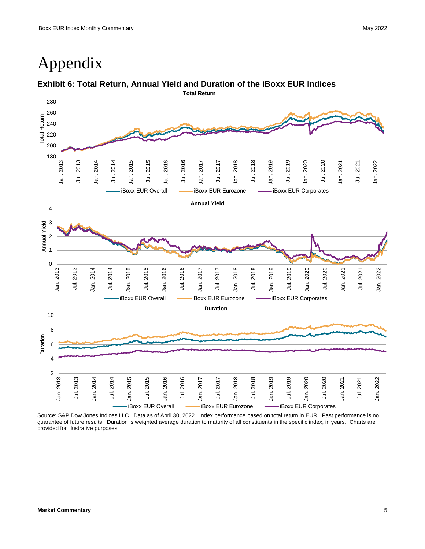### Appendix

#### **Exhibit 6: Total Return, Annual Yield and Duration of the iBoxx EUR Indices**



Source: S&P Dow Jones Indices LLC. Data as of April 30, 2022. Index performance based on total return in EUR. Past performance is no guarantee of future results. Duration is weighted average duration to maturity of all constituents in the specific index, in years. Charts are provided for illustrative purposes.